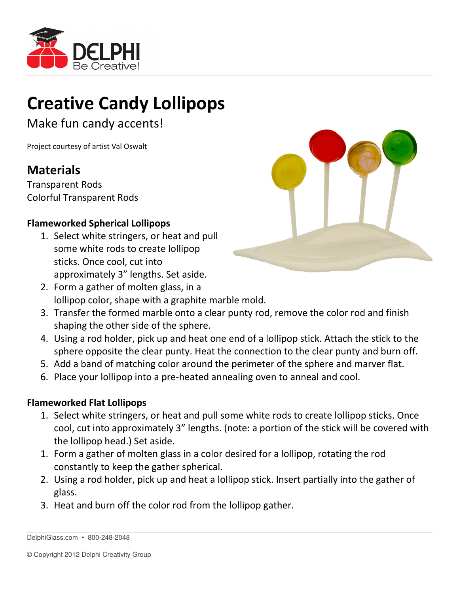

## Creative Candy Lollipops

Make fun candy accents!

Project courtesy of artist Val Oswalt

## Materials

Transparent Rods Colorful Transparent Rods

## Flameworked Spherical Lollipops

1. Select white stringers, or heat and pull some white rods to create lollipop sticks. Once cool, cut into approximately 3" lengths. Set aside.



- 3. Transfer the formed marble onto a clear punty rod, remove the color rod and finish shaping the other side of the sphere.
- 4. Using a rod holder, pick up and heat one end of a lollipop stick. Attach the stick to the sphere opposite the clear punty. Heat the connection to the clear punty and burn off.
- 5. Add a band of matching color around the perimeter of the sphere and marver flat.
- 6. Place your lollipop into a pre-heated annealing oven to anneal and cool.

## Flameworked Flat Lollipops

- 1. Select white stringers, or heat and pull some white rods to create lollipop sticks. Once cool, cut into approximately 3" lengths. (note: a portion of the stick will be covered with the lollipop head.) Set aside.
- 1. Form a gather of molten glass in a color desired for a lollipop, rotating the rod constantly to keep the gather spherical.
- 2. Using a rod holder, pick up and heat a lollipop stick. Insert partially into the gather of glass.
- 3. Heat and burn off the color rod from the lollipop gather.